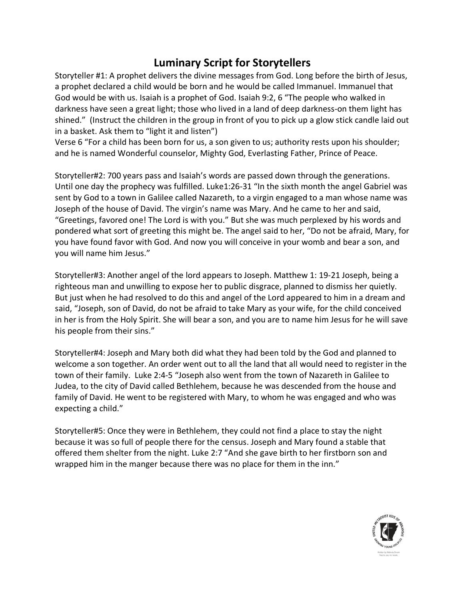## **Luminary Script for Storytellers**

Storyteller #1: A prophet delivers the divine messages from God. Long before the birth of Jesus, a prophet declared a child would be born and he would be called Immanuel. Immanuel that God would be with us. Isaiah is a prophet of God. Isaiah 9:2, 6 "The people who walked in darkness have seen a great light; those who lived in a land of deep darkness-on them light has shined." (Instruct the children in the group in front of you to pick up a glow stick candle laid out in a basket. Ask them to "light it and listen")

Verse 6 "For a child has been born for us, a son given to us; authority rests upon his shoulder; and he is named Wonderful counselor, Mighty God, Everlasting Father, Prince of Peace.

Storyteller#2: 700 years pass and Isaiah's words are passed down through the generations. Until one day the prophecy was fulfilled. Luke1:26-31 "In the sixth month the angel Gabriel was sent by God to a town in Galilee called Nazareth, to a virgin engaged to a man whose name was Joseph of the house of David. The virgin's name was Mary. And he came to her and said, "Greetings, favored one! The Lord is with you." But she was much perplexed by his words and pondered what sort of greeting this might be. The angel said to her, "Do not be afraid, Mary, for you have found favor with God. And now you will conceive in your womb and bear a son, and you will name him Jesus."

Storyteller#3: Another angel of the lord appears to Joseph. Matthew 1: 19-21 Joseph, being a righteous man and unwilling to expose her to public disgrace, planned to dismiss her quietly. But just when he had resolved to do this and angel of the Lord appeared to him in a dream and said, "Joseph, son of David, do not be afraid to take Mary as your wife, for the child conceived in her is from the Holy Spirit. She will bear a son, and you are to name him Jesus for he will save his people from their sins."

Storyteller#4: Joseph and Mary both did what they had been told by the God and planned to welcome a son together. An order went out to all the land that all would need to register in the town of their family. Luke 2:4-5 "Joseph also went from the town of Nazareth in Galilee to Judea, to the city of David called Bethlehem, because he was descended from the house and family of David. He went to be registered with Mary, to whom he was engaged and who was expecting a child."

Storyteller#5: Once they were in Bethlehem, they could not find a place to stay the night because it was so full of people there for the census. Joseph and Mary found a stable that offered them shelter from the night. Luke 2:7 "And she gave birth to her firstborn son and wrapped him in the manger because there was no place for them in the inn."